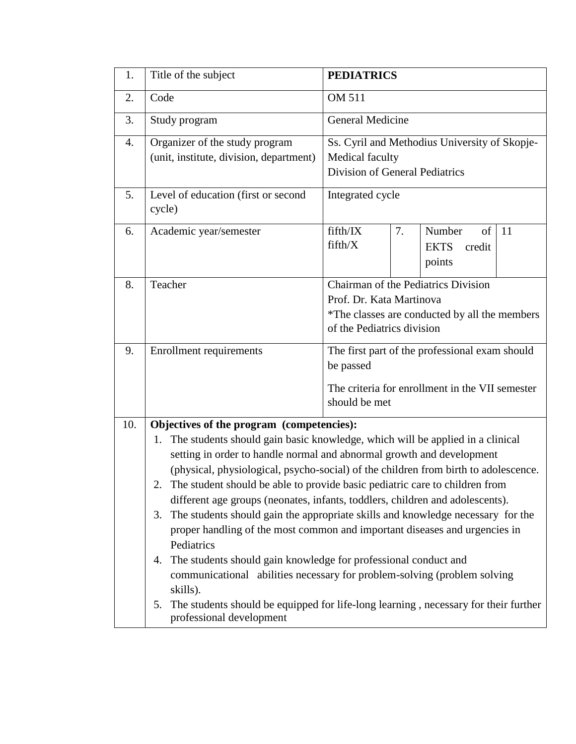| 1.  | Title of the subject                                                                                                                                                                                                                                                                                                                                                                                                                                                                                                                                                                                                                                                                                                                                                                                                                                                                                                                                  | <b>PEDIATRICS</b>                                                                                                                              |  |  |  |
|-----|-------------------------------------------------------------------------------------------------------------------------------------------------------------------------------------------------------------------------------------------------------------------------------------------------------------------------------------------------------------------------------------------------------------------------------------------------------------------------------------------------------------------------------------------------------------------------------------------------------------------------------------------------------------------------------------------------------------------------------------------------------------------------------------------------------------------------------------------------------------------------------------------------------------------------------------------------------|------------------------------------------------------------------------------------------------------------------------------------------------|--|--|--|
| 2.  | Code                                                                                                                                                                                                                                                                                                                                                                                                                                                                                                                                                                                                                                                                                                                                                                                                                                                                                                                                                  | <b>OM 511</b>                                                                                                                                  |  |  |  |
| 3.  | Study program                                                                                                                                                                                                                                                                                                                                                                                                                                                                                                                                                                                                                                                                                                                                                                                                                                                                                                                                         | <b>General Medicine</b>                                                                                                                        |  |  |  |
| 4.  | Organizer of the study program<br>(unit, institute, division, department)                                                                                                                                                                                                                                                                                                                                                                                                                                                                                                                                                                                                                                                                                                                                                                                                                                                                             | Ss. Cyril and Methodius University of Skopje-<br>Medical faculty<br>Division of General Pediatrics                                             |  |  |  |
| 5.  | Level of education (first or second<br>cycle)                                                                                                                                                                                                                                                                                                                                                                                                                                                                                                                                                                                                                                                                                                                                                                                                                                                                                                         | Integrated cycle                                                                                                                               |  |  |  |
| 6.  | Academic year/semester                                                                                                                                                                                                                                                                                                                                                                                                                                                                                                                                                                                                                                                                                                                                                                                                                                                                                                                                | fifth/IX<br>7.<br>Number<br>of<br>11<br>fifth/X<br><b>EKTS</b><br>credit<br>points                                                             |  |  |  |
| 8.  | Teacher                                                                                                                                                                                                                                                                                                                                                                                                                                                                                                                                                                                                                                                                                                                                                                                                                                                                                                                                               | Chairman of the Pediatrics Division<br>Prof. Dr. Kata Martinova<br>*The classes are conducted by all the members<br>of the Pediatrics division |  |  |  |
| 9.  | <b>Enrollment requirements</b>                                                                                                                                                                                                                                                                                                                                                                                                                                                                                                                                                                                                                                                                                                                                                                                                                                                                                                                        | The first part of the professional exam should<br>be passed<br>The criteria for enrollment in the VII semester<br>should be met                |  |  |  |
| 10. | Objectives of the program (competencies):<br>The students should gain basic knowledge, which will be applied in a clinical<br>1.<br>setting in order to handle normal and abnormal growth and development<br>(physical, physiological, psycho-social) of the children from birth to adolescence.<br>The student should be able to provide basic pediatric care to children from<br>2.<br>different age groups (neonates, infants, toddlers, children and adolescents).<br>The students should gain the appropriate skills and knowledge necessary for the<br>3.<br>proper handling of the most common and important diseases and urgencies in<br>Pediatrics<br>The students should gain knowledge for professional conduct and<br>4.<br>communicational abilities necessary for problem-solving (problem solving<br>skills).<br>The students should be equipped for life-long learning, necessary for their further<br>5.<br>professional development |                                                                                                                                                |  |  |  |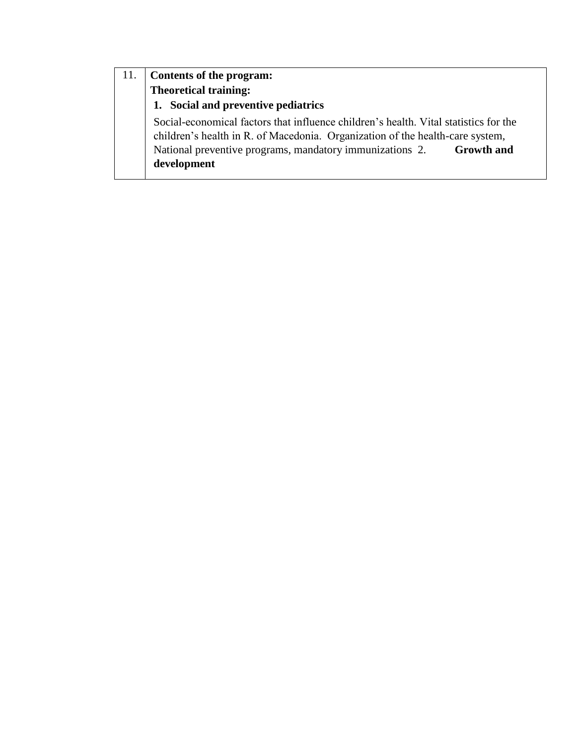# 11. **Contents of the program: Theoretical training: 1. Social and preventive pediatrics** Social-economical factors that influence children's health. Vital statistics for the children's health in R. of Macedonia. Organization of the health-care system, National preventive programs, mandatory immunizations 2. **Growth and development**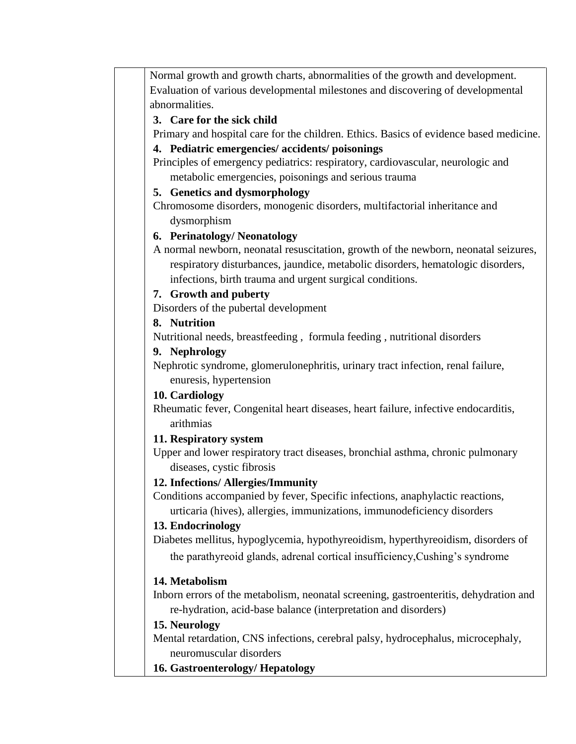Normal growth and growth charts, abnormalities of the growth and development. Evaluation of various developmental milestones and discovering of developmental abnormalities.

#### **3. Care for the sick child**

Primary and hospital care for the children. Ethics. Basics of evidence based medicine.

#### **4. Pediatric emergencies/ accidents/ poisonings**

Principles of emergency pediatrics: respiratory, cardiovascular, neurologic and metabolic emergencies, poisonings and serious trauma

#### **5. Genetics and dysmorphology**

Chromosome disorders, monogenic disorders, multifactorial inheritance and dysmorphism

# **6. Perinatology/ Neonatology**

A normal newborn, neonatal resuscitation, growth of the newborn, neonatal seizures, respiratory disturbances, jaundice, metabolic disorders, hematologic disorders, infections, birth trauma and urgent surgical conditions.

#### **7. Growth and puberty**

Disorders of the pubertal development

# **8. Nutrition**

Nutritional needs, breastfeeding , formula feeding , nutritional disorders

#### **9. Nephrology**

Nephrotic syndrome, glomerulonephritis, urinary tract infection, renal failure, enuresis, hypertension

# **10. Cardiology**

Rheumatic fever, Congenital heart diseases, heart failure, infective endocarditis, arithmias

# **11. Respiratory system**

Upper and lower respiratory tract diseases, bronchial asthma, chronic pulmonary diseases, cystic fibrosis

# **12. Infections/ Allergies/Immunity**

Conditions accompanied by fever, Specific infections, anaphylactic reactions, urticaria (hives), allergies, immunizations, immunodeficiency disorders

# **13. Endocrinology**

Diabetes mellitus, hypoglycemia, hypothyreoidism, hyperthyreoidism, disorders of the parathyreoid glands, adrenal cortical insufficiency,Cushing's syndrome

# **14. Metabolism**

Inborn errors of the metabolism, neonatal screening, gastroenteritis, dehydration and re-hydration, acid-base balance (interpretation and disorders)

# **15. Neurology**

Mental retardation, CNS infections, cerebral palsy, hydrocephalus, microcephaly, neuromuscular disorders

**16. Gastroenterology/ Hepatology**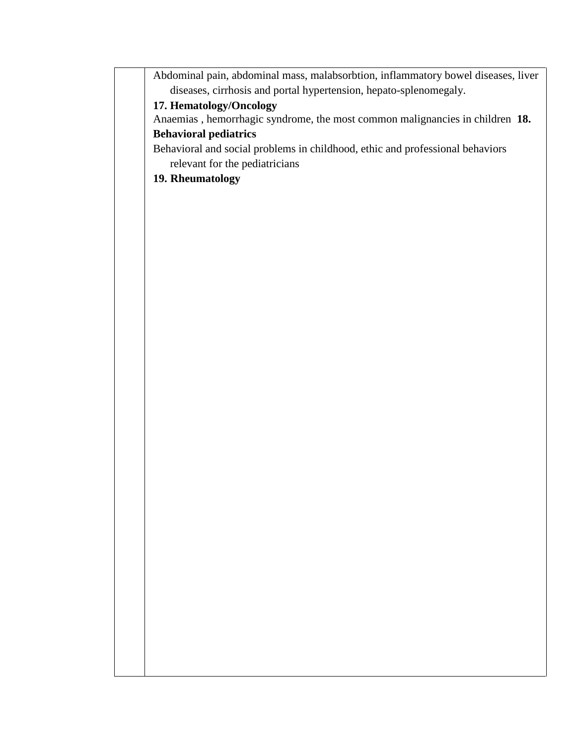Abdominal pain, abdominal mass, malabsorbtion, inflammatory bowel diseases, liver diseases, cirrhosis and portal hypertension, hepato-splenomegaly.

# **17. Hematology/Oncology**

Anaemias , hemorrhagic syndrome, the most common malignancies in children **18. Behavioral pediatrics** 

Behavioral and social problems in childhood, ethic and professional behaviors relevant for the pediatricians

# **19. Rheumatology**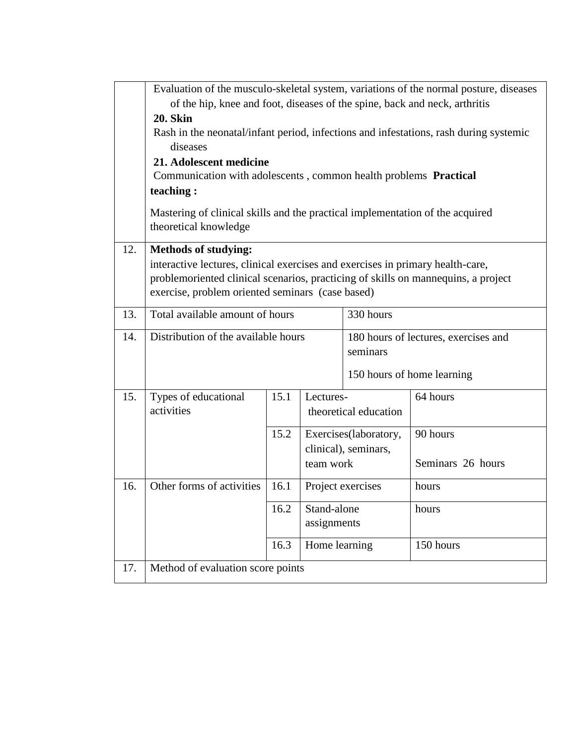|     | Evaluation of the musculo-skeletal system, variations of the normal posture, diseases                         |      |                   |                                                  |                            |  |  |  |
|-----|---------------------------------------------------------------------------------------------------------------|------|-------------------|--------------------------------------------------|----------------------------|--|--|--|
|     | of the hip, knee and foot, diseases of the spine, back and neck, arthritis                                    |      |                   |                                                  |                            |  |  |  |
|     | <b>20. Skin</b>                                                                                               |      |                   |                                                  |                            |  |  |  |
|     | Rash in the neonatal/infant period, infections and infestations, rash during systemic<br>diseases             |      |                   |                                                  |                            |  |  |  |
|     | 21. Adolescent medicine                                                                                       |      |                   |                                                  |                            |  |  |  |
|     | Communication with adolescents, common health problems Practical                                              |      |                   |                                                  |                            |  |  |  |
|     | teaching:                                                                                                     |      |                   |                                                  |                            |  |  |  |
|     | Mastering of clinical skills and the practical implementation of the acquired<br>theoretical knowledge        |      |                   |                                                  |                            |  |  |  |
| 12. | <b>Methods of studying:</b><br>interactive lectures, clinical exercises and exercises in primary health-care, |      |                   |                                                  |                            |  |  |  |
|     | problemoriented clinical scenarios, practicing of skills on mannequins, a project                             |      |                   |                                                  |                            |  |  |  |
|     | exercise, problem oriented seminars (case based)                                                              |      |                   |                                                  |                            |  |  |  |
| 13. | 330 hours<br>Total available amount of hours                                                                  |      |                   |                                                  |                            |  |  |  |
|     |                                                                                                               |      |                   |                                                  |                            |  |  |  |
| 14. | Distribution of the available hours                                                                           |      |                   | 180 hours of lectures, exercises and<br>seminars |                            |  |  |  |
|     |                                                                                                               |      |                   |                                                  | 150 hours of home learning |  |  |  |
| 15. | Types of educational                                                                                          | 15.1 | Lectures-         |                                                  | 64 hours                   |  |  |  |
|     | activities                                                                                                    |      |                   | theoretical education                            |                            |  |  |  |
|     |                                                                                                               | 15.2 |                   | Exercises(laboratory,                            | 90 hours                   |  |  |  |
|     |                                                                                                               |      |                   | clinical), seminars,                             |                            |  |  |  |
|     |                                                                                                               |      | team work         |                                                  | Seminars 26 hours          |  |  |  |
| 16. | Other forms of activities                                                                                     | 16.1 | Project exercises |                                                  | hours                      |  |  |  |
|     |                                                                                                               | 16.2 | Stand-alone       |                                                  | hours                      |  |  |  |
|     |                                                                                                               |      | assignments       |                                                  |                            |  |  |  |
|     |                                                                                                               | 16.3 | Home learning     |                                                  | 150 hours                  |  |  |  |
| 17. | Method of evaluation score points                                                                             |      |                   |                                                  |                            |  |  |  |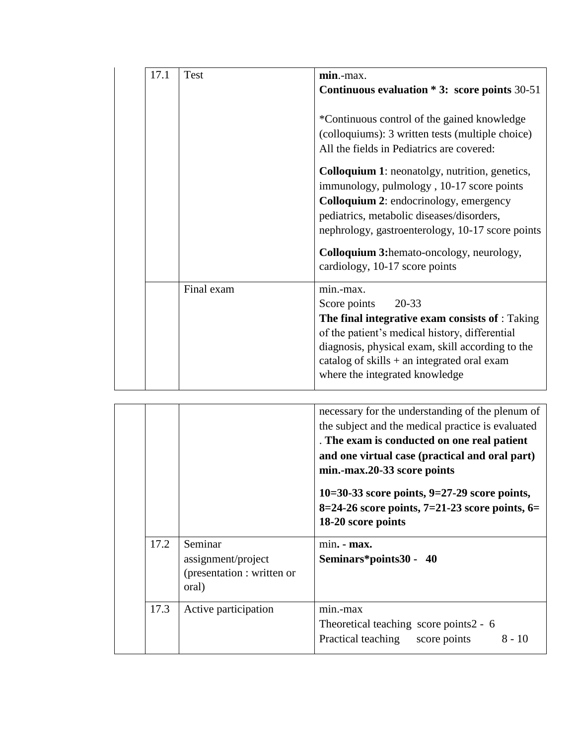| 17.1 | <b>Test</b> | min.-max.                                                                                                                                                                                                                                                                                                        |
|------|-------------|------------------------------------------------------------------------------------------------------------------------------------------------------------------------------------------------------------------------------------------------------------------------------------------------------------------|
|      |             | Continuous evaluation $*3$ : score points 30-51                                                                                                                                                                                                                                                                  |
|      |             | *Continuous control of the gained knowledge<br>(colloquiums): 3 written tests (multiple choice)<br>All the fields in Pediatrics are covered:                                                                                                                                                                     |
|      |             | <b>Colloquium 1:</b> neonatolgy, nutrition, genetics,<br>immunology, pulmology, 10-17 score points<br><b>Colloquium 2: endocrinology, emergency</b><br>pediatrics, metabolic diseases/disorders,<br>nephrology, gastroenterology, 10-17 score points<br><b>Colloquium 3:</b> hemato-oncology, neurology,         |
|      | Final exam  | cardiology, 10-17 score points<br>min.-max.<br>Score points<br>20-33<br>The final integrative exam consists of : Taking<br>of the patient's medical history, differential<br>diagnosis, physical exam, skill according to the<br>catalog of skills $+$ an integrated oral exam<br>where the integrated knowledge |

|      |                                                                      | necessary for the understanding of the plenum of<br>the subject and the medical practice is evaluated<br>. The exam is conducted on one real patient<br>and one virtual case (practical and oral part)<br>min.-max.20-33 score points<br>10=30-33 score points, $9=27-29$ score points,<br>8=24-26 score points, $7=21-23$ score points, $6=$<br>18-20 score points |  |  |  |  |
|------|----------------------------------------------------------------------|---------------------------------------------------------------------------------------------------------------------------------------------------------------------------------------------------------------------------------------------------------------------------------------------------------------------------------------------------------------------|--|--|--|--|
| 17.2 | Seminar<br>assignment/project<br>(presentation : written or<br>oral) | $min. - max.$<br>Seminars*points30 - 40                                                                                                                                                                                                                                                                                                                             |  |  |  |  |
| 17.3 | Active participation                                                 | min.-max<br>Theoretical teaching score points2 - 6<br>$8 - 10$<br>Practical teaching<br>score points                                                                                                                                                                                                                                                                |  |  |  |  |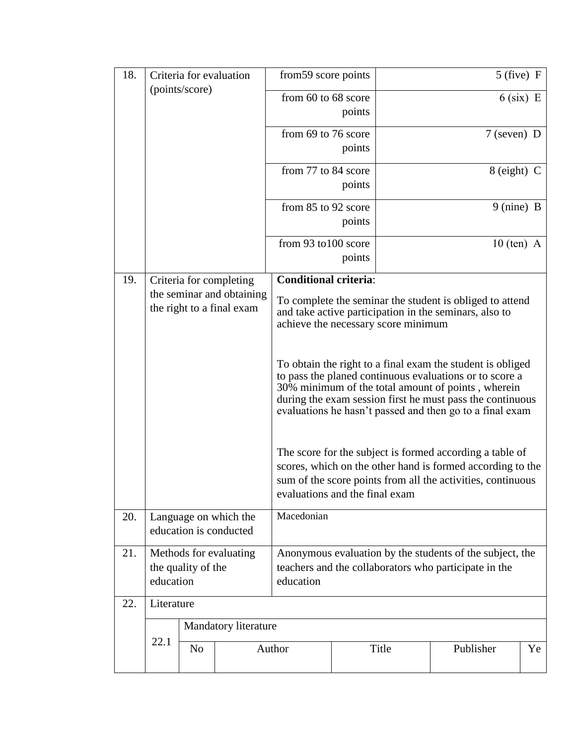| 18. |                                                           |                | Criteria for evaluation                         | $5$ (five) F<br>from 59 score points                                                                                                                                                                                                                                                                 |                                                                                                                                                           |              |                 |             |  |  |
|-----|-----------------------------------------------------------|----------------|-------------------------------------------------|------------------------------------------------------------------------------------------------------------------------------------------------------------------------------------------------------------------------------------------------------------------------------------------------------|-----------------------------------------------------------------------------------------------------------------------------------------------------------|--------------|-----------------|-------------|--|--|
|     | (points/score)                                            |                |                                                 | from 60 to 68 score                                                                                                                                                                                                                                                                                  | points                                                                                                                                                    |              |                 | $6$ (six) E |  |  |
|     |                                                           |                |                                                 | from 69 to 76 score                                                                                                                                                                                                                                                                                  | points                                                                                                                                                    |              | $7$ (seven) D   |             |  |  |
|     |                                                           |                |                                                 | from 77 to 84 score                                                                                                                                                                                                                                                                                  | points                                                                                                                                                    |              | $8$ (eight) $C$ |             |  |  |
|     |                                                           |                |                                                 | from 85 to 92 score                                                                                                                                                                                                                                                                                  | points                                                                                                                                                    |              | 9 (nine) B      |             |  |  |
|     |                                                           |                |                                                 | from 93 to 100 score                                                                                                                                                                                                                                                                                 | points                                                                                                                                                    | $10$ (ten) A |                 |             |  |  |
| 19. |                                                           |                | Criteria for completing                         | <b>Conditional criteria:</b>                                                                                                                                                                                                                                                                         |                                                                                                                                                           |              |                 |             |  |  |
|     | the seminar and obtaining<br>the right to a final exam    |                |                                                 |                                                                                                                                                                                                                                                                                                      | To complete the seminar the student is obliged to attend<br>and take active participation in the seminars, also to<br>achieve the necessary score minimum |              |                 |             |  |  |
|     |                                                           |                |                                                 | To obtain the right to a final exam the student is obliged<br>to pass the planed continuous evaluations or to score a<br>30% minimum of the total amount of points, wherein<br>during the exam session first he must pass the continuous<br>evaluations he hasn't passed and then go to a final exam |                                                                                                                                                           |              |                 |             |  |  |
|     |                                                           |                |                                                 | The score for the subject is formed according a table of<br>scores, which on the other hand is formed according to the<br>sum of the score points from all the activities, continuous<br>evaluations and the final exam                                                                              |                                                                                                                                                           |              |                 |             |  |  |
| 20. |                                                           |                | Language on which the<br>education is conducted | Macedonian                                                                                                                                                                                                                                                                                           |                                                                                                                                                           |              |                 |             |  |  |
| 21. | Methods for evaluating<br>the quality of the<br>education |                |                                                 | Anonymous evaluation by the students of the subject, the<br>teachers and the collaborators who participate in the<br>education                                                                                                                                                                       |                                                                                                                                                           |              |                 |             |  |  |
| 22. | Literature                                                |                |                                                 |                                                                                                                                                                                                                                                                                                      |                                                                                                                                                           |              |                 |             |  |  |
|     |                                                           |                | Mandatory literature                            |                                                                                                                                                                                                                                                                                                      |                                                                                                                                                           |              |                 |             |  |  |
|     | 22.1                                                      | N <sub>o</sub> |                                                 | Author                                                                                                                                                                                                                                                                                               |                                                                                                                                                           | Title        | Publisher       | Ye          |  |  |